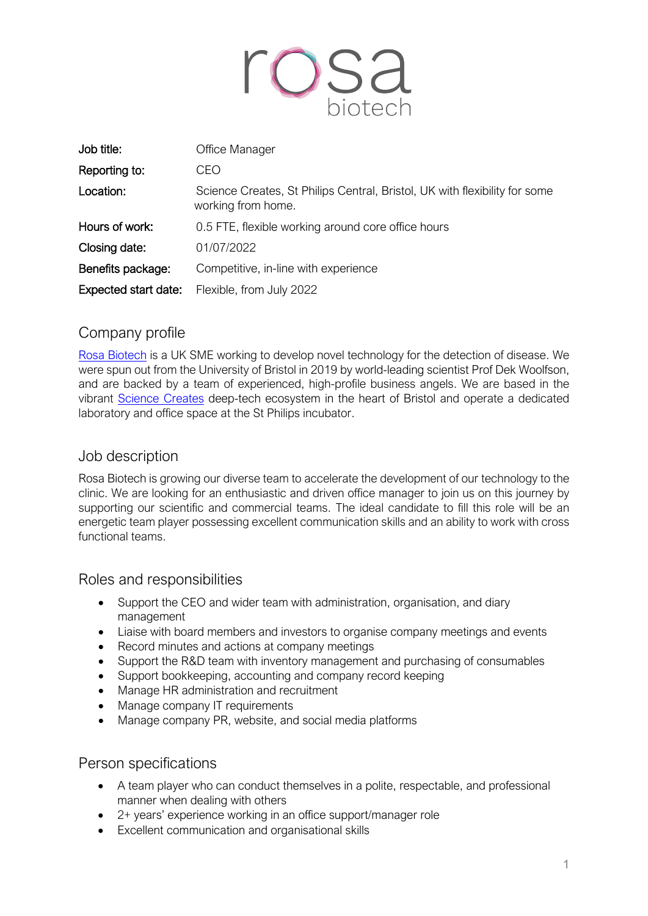

| Job title:           | Office Manager                                                                                   |
|----------------------|--------------------------------------------------------------------------------------------------|
| Reporting to:        | CEO                                                                                              |
| Location:            | Science Creates, St Philips Central, Bristol, UK with flexibility for some<br>working from home. |
| Hours of work:       | 0.5 FTE, flexible working around core office hours                                               |
| Closing date:        | 01/07/2022                                                                                       |
| Benefits package:    | Competitive, in-line with experience                                                             |
| Expected start date: | Flexible, from July 2022                                                                         |

# Company profile

Rosa Biotech is a UK SME working to develop novel technology for the detection of disease. We were spun out from the University of Bristol in 2019 by world-leading scientist Prof Dek Woolfson, and are backed by a team of experienced, high-profile business angels. We are based in the vibrant Science Creates deep-tech ecosystem in the heart of Bristol and operate a dedicated laboratory and office space at the St Philips incubator.

# Job description

Rosa Biotech is growing our diverse team to accelerate the development of our technology to the clinic. We are looking for an enthusiastic and driven office manager to join us on this journey by supporting our scientific and commercial teams. The ideal candidate to fill this role will be an energetic team player possessing excellent communication skills and an ability to work with cross functional teams.

## Roles and responsibilities

- Support the CEO and wider team with administration, organisation, and diary management
- Liaise with board members and investors to organise company meetings and events
- Record minutes and actions at company meetings
- Support the R&D team with inventory management and purchasing of consumables
- Support bookkeeping, accounting and company record keeping
- Manage HR administration and recruitment
- Manage company IT requirements
- Manage company PR, website, and social media platforms

#### Person specifications

- A team player who can conduct themselves in a polite, respectable, and professional manner when dealing with others
- 2+ years' experience working in an office support/manager role
- Excellent communication and organisational skills